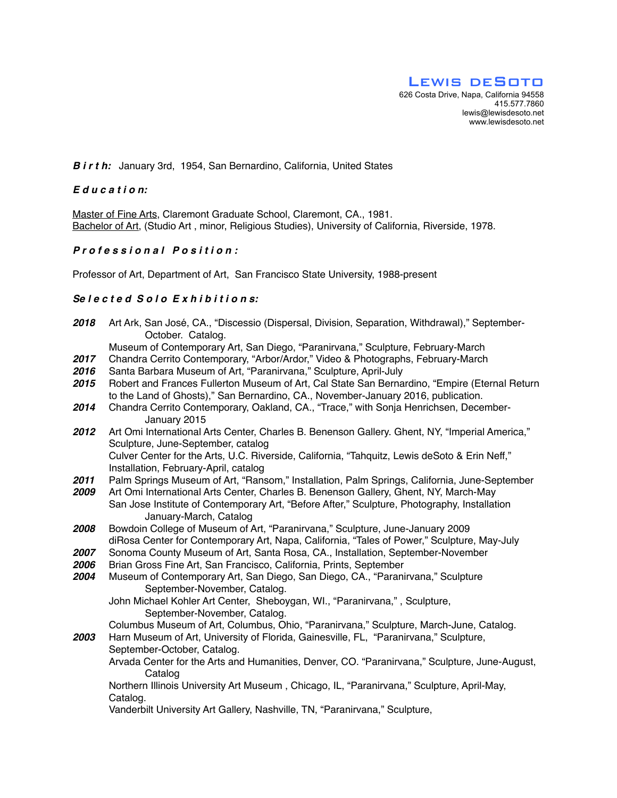#### *B i r t h:* January 3rd, 1954, San Bernardino, California, United States

## *E d u c a t i o n:*

Master of Fine Arts, Claremont Graduate School, Claremont, CA., 1981. Bachelor of Art, (Studio Art , minor, Religious Studies), University of California, Riverside, 1978.

*2018* Art Ark, San José, CA., "Discessio (Dispersal, Division, Separation, Withdrawal)," September-

#### *P r o f e s s i o n a l P o s i t i o n :*

Professor of Art, Department of Art, San Francisco State University, 1988-present

## *Se l e c t e d S o l o E x h i b i t i o n s:*

|              | October. Catalog.                                                                                                                                                                                                                                                                                              |
|--------------|----------------------------------------------------------------------------------------------------------------------------------------------------------------------------------------------------------------------------------------------------------------------------------------------------------------|
|              | Museum of Contemporary Art, San Diego, "Paranirvana," Sculpture, February-March                                                                                                                                                                                                                                |
| 2017         | Chandra Cerrito Contemporary, "Arbor/Ardor," Video & Photographs, February-March                                                                                                                                                                                                                               |
| 2016         | Santa Barbara Museum of Art, "Paranirvana," Sculpture, April-July                                                                                                                                                                                                                                              |
| 2015         | Robert and Frances Fullerton Museum of Art, Cal State San Bernardino, "Empire (Eternal Return<br>to the Land of Ghosts)," San Bernardino, CA., November-January 2016, publication.                                                                                                                             |
| 2014         | Chandra Cerrito Contemporary, Oakland, CA., "Trace," with Sonja Henrichsen, December-<br>January 2015                                                                                                                                                                                                          |
| 2012         | Art Omi International Arts Center, Charles B. Benenson Gallery. Ghent, NY, "Imperial America,"<br>Sculpture, June-September, catalog                                                                                                                                                                           |
|              | Culver Center for the Arts, U.C. Riverside, California, "Tahquitz, Lewis deSoto & Erin Neff,"<br>Installation, February-April, catalog                                                                                                                                                                         |
| 2011<br>2009 | Palm Springs Museum of Art, "Ransom," Installation, Palm Springs, California, June-September<br>Art Omi International Arts Center, Charles B. Benenson Gallery, Ghent, NY, March-May<br>San Jose Institute of Contemporary Art, "Before After," Sculpture, Photography, Installation<br>January-March, Catalog |
| 2008         | Bowdoin College of Museum of Art, "Paranirvana," Sculpture, June-January 2009                                                                                                                                                                                                                                  |
|              | diRosa Center for Contemporary Art, Napa, California, "Tales of Power," Sculpture, May-July                                                                                                                                                                                                                    |
| 2007         | Sonoma County Museum of Art, Santa Rosa, CA., Installation, September-November                                                                                                                                                                                                                                 |
| 2006         | Brian Gross Fine Art, San Francisco, California, Prints, September                                                                                                                                                                                                                                             |
| 2004         | Museum of Contemporary Art, San Diego, San Diego, CA., "Paranirvana," Sculpture<br>September-November, Catalog.                                                                                                                                                                                                |
|              | John Michael Kohler Art Center, Sheboygan, WI., "Paranirvana,", Sculpture,<br>September-November, Catalog.                                                                                                                                                                                                     |
| 2003         | Columbus Museum of Art, Columbus, Ohio, "Paranirvana," Sculpture, March-June, Catalog.<br>Harn Museum of Art, University of Florida, Gainesville, FL, "Paranirvana," Sculpture,                                                                                                                                |
|              | September-October, Catalog.                                                                                                                                                                                                                                                                                    |
|              | Arvada Center for the Arts and Humanities, Denver, CO. "Paranirvana," Sculpture, June-August,<br>Catalog                                                                                                                                                                                                       |
|              | Northern Illinois University Art Museum, Chicago, IL, "Paranirvana," Sculpture, April-May,<br>Catalog.                                                                                                                                                                                                         |
|              | Vanderbilt University Art Gallery, Nashville, TN, "Paranirvana," Sculpture,                                                                                                                                                                                                                                    |
|              |                                                                                                                                                                                                                                                                                                                |
|              |                                                                                                                                                                                                                                                                                                                |
|              |                                                                                                                                                                                                                                                                                                                |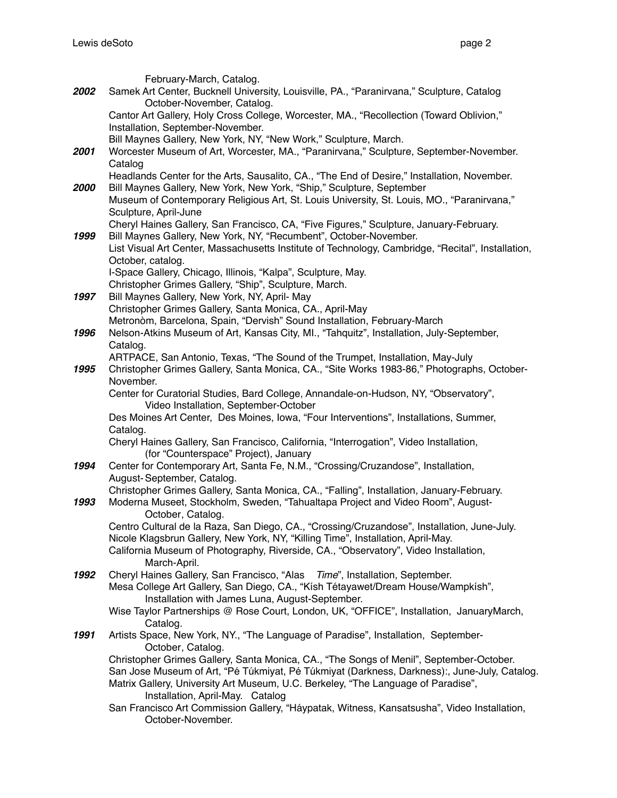|      | February-March, Catalog.                                                                                              |
|------|-----------------------------------------------------------------------------------------------------------------------|
| 2002 | Samek Art Center, Bucknell University, Louisville, PA., "Paranirvana," Sculpture, Catalog                             |
|      | October-November, Catalog.                                                                                            |
|      | Cantor Art Gallery, Holy Cross College, Worcester, MA., "Recollection (Toward Oblivion,"                              |
|      | Installation, September-November.                                                                                     |
|      | Bill Maynes Gallery, New York, NY, "New Work," Sculpture, March.                                                      |
| 2001 | Worcester Museum of Art, Worcester, MA., "Paranirvana," Sculpture, September-November.                                |
|      | Catalog                                                                                                               |
|      | Headlands Center for the Arts, Sausalito, CA., "The End of Desire," Installation, November.                           |
| 2000 | Bill Maynes Gallery, New York, New York, "Ship," Sculpture, September                                                 |
|      | Museum of Contemporary Religious Art, St. Louis University, St. Louis, MO., "Paranirvana,"<br>Sculpture, April-June   |
|      | Cheryl Haines Gallery, San Francisco, CA, "Five Figures," Sculpture, January-February.                                |
| 1999 | Bill Maynes Gallery, New York, NY, "Recumbent", October-November.                                                     |
|      | List Visual Art Center, Massachusetts Institute of Technology, Cambridge, "Recital", Installation,                    |
|      | October, catalog.                                                                                                     |
|      | I-Space Gallery, Chicago, Illinois, "Kalpa", Sculpture, May.                                                          |
|      | Christopher Grimes Gallery, "Ship", Sculpture, March.                                                                 |
| 1997 | Bill Maynes Gallery, New York, NY, April- May                                                                         |
|      | Christopher Grimes Gallery, Santa Monica, CA., April-May                                                              |
|      | Metronòm, Barcelona, Spain, "Dervish" Sound Installation, February-March                                              |
| 1996 | Nelson-Atkins Museum of Art, Kansas City, MI., "Tahquitz", Installation, July-September,                              |
|      | Catalog.                                                                                                              |
|      | ARTPACE, San Antonio, Texas, "The Sound of the Trumpet, Installation, May-July                                        |
| 1995 | Christopher Grimes Gallery, Santa Monica, CA., "Site Works 1983-86," Photographs, October-<br>November.               |
|      | Center for Curatorial Studies, Bard College, Annandale-on-Hudson, NY, "Observatory",                                  |
|      | Video Installation, September-October                                                                                 |
|      | Des Moines Art Center, Des Moines, Iowa, "Four Interventions", Installations, Summer,                                 |
|      | Catalog.                                                                                                              |
|      | Cheryl Haines Gallery, San Francisco, California, "Interrogation", Video Installation,                                |
|      | (for "Counterspace" Project), January                                                                                 |
| 1994 | Center for Contemporary Art, Santa Fe, N.M., "Crossing/Cruzandose", Installation,                                     |
|      | August-September, Catalog.                                                                                            |
|      | Christopher Grimes Gallery, Santa Monica, CA., "Falling", Installation, January-February.                             |
| 1993 | Moderna Museet, Stockholm, Sweden, "Tahualtapa Project and Video Room", August-                                       |
|      | October, Catalog.<br>Centro Cultural de la Raza, San Diego, CA., "Crossing/Cruzandose", Installation, June-July.      |
|      | Nicole Klagsbrun Gallery, New York, NY, "Killing Time", Installation, April-May.                                      |
|      | California Museum of Photography, Riverside, CA., "Observatory", Video Installation,                                  |
|      | March-April.                                                                                                          |
| 1992 | Cheryl Haines Gallery, San Francisco, "Alas Time", Installation, September.                                           |
|      | Mesa College Art Gallery, San Diego, CA., "Kish Tétayawet/Dream House/Wampkish",                                      |
|      | Installation with James Luna, August-September.                                                                       |
|      | Wise Taylor Partnerships @ Rose Court, London, UK, "OFFICE", Installation, JanuaryMarch,                              |
|      | Catalog.                                                                                                              |
| 1991 | Artists Space, New York, NY., "The Language of Paradise", Installation, September-                                    |
|      | October, Catalog.                                                                                                     |
|      | Christopher Grimes Gallery, Santa Monica, CA., "The Songs of Menil", September-October.                               |
|      | San Jose Museum of Art, "Pé Túkmiyat, Pé Túkmiyat (Darkness, Darkness):, June-July, Catalog.                          |
|      | Matrix Gallery, University Art Museum, U.C. Berkeley, "The Language of Paradise",<br>Installation, April-May. Catalog |
|      | San Francisco Art Commission Gallery, "Háypatak, Witness, Kansatsusha", Video Installation,                           |
|      | October-November.                                                                                                     |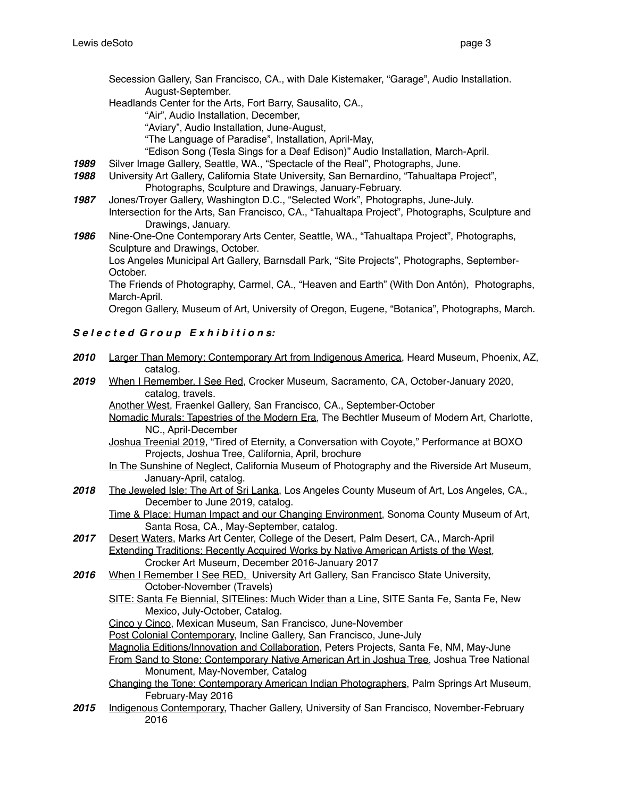- Secession Gallery, San Francisco, CA., with Dale Kistemaker, "Garage", Audio Installation. August-September.
- Headlands Center for the Arts, Fort Barry, Sausalito, CA.,

"Air", Audio Installation, December,

"Aviary", Audio Installation, June-August,

"The Language of Paradise", Installation, April-May,

- "Edison Song (Tesla Sings for a Deaf Edison)" Audio Installation, March-April.
- *1989* Silver Image Gallery, Seattle, WA., "Spectacle of the Real", Photographs, June.
- *1988* University Art Gallery, California State University, San Bernardino, "Tahualtapa Project", Photographs, Sculpture and Drawings, January-February.
- *1987* Jones/Troyer Gallery, Washington D.C., "Selected Work", Photographs, June-July. Intersection for the Arts, San Francisco, CA., "Tahualtapa Project", Photographs, Sculpture and Drawings, January.
- *1986* Nine-One-One Contemporary Arts Center, Seattle, WA., "Tahualtapa Project", Photographs, Sculpture and Drawings, October.

Los Angeles Municipal Art Gallery, Barnsdall Park, "Site Projects", Photographs, September-October.

The Friends of Photography, Carmel, CA., "Heaven and Earth" (With Don Antón), Photographs, March-April.

Oregon Gallery, Museum of Art, University of Oregon, Eugene, "Botanica", Photographs, March.

## *S e l e c t e d G r o u p E x h i b i t i o n s:*

- *2010* Larger Than Memory: Contemporary Art from Indigenous America, Heard Museum, Phoenix, AZ, catalog.
- *2019* When I Remember, I See Red, Crocker Museum, Sacramento, CA, October-January 2020, catalog, travels.

Another West, Fraenkel Gallery, San Francisco, CA., September-October

- Nomadic Murals: Tapestries of the Modern Era, The Bechtler Museum of Modern Art, Charlotte, NC., April-December
- Joshua Treenial 2019, "Tired of Eternity, a Conversation with Coyote," Performance at BOXO Projects, Joshua Tree, California, April, brochure
- In The Sunshine of Neglect, California Museum of Photography and the Riverside Art Museum, January-April, catalog.
- *2018* The Jeweled Isle: The Art of Sri Lanka, Los Angeles County Museum of Art, Los Angeles, CA., December to June 2019, catalog.

Time & Place: Human Impact and our Changing Environment, Sonoma County Museum of Art, Santa Rosa, CA., May-September, catalog.

- 2017 Desert Waters, Marks Art Center, College of the Desert, Palm Desert, CA., March-April Extending Traditions: Recently Acquired Works by Native American Artists of the West, Crocker Art Museum, December 2016-January 2017
- 2016 When I Remember I See RED<sub>.</sub> University Art Gallery, San Francisco State University, October-November (Travels)
	- SITE: Santa Fe Biennial, SITElines: Much Wider than a Line, SITE Santa Fe, Santa Fe, New Mexico, July-October, Catalog.
	- Cinco y Cinco, Mexican Museum, San Francisco, June-November
	- Post Colonial Contemporary, Incline Gallery, San Francisco, June-July
	- Magnolia Editions/Innovation and Collaboration, Peters Projects, Santa Fe, NM, May-June From Sand to Stone: Contemporary Native American Art in Joshua Tree, Joshua Tree National Monument, May-November, Catalog
	- Changing the Tone: Contemporary American Indian Photographers, Palm Springs Art Museum, February-May 2016
- *2015* Indigenous Contemporary, Thacher Gallery, University of San Francisco, November-February 2016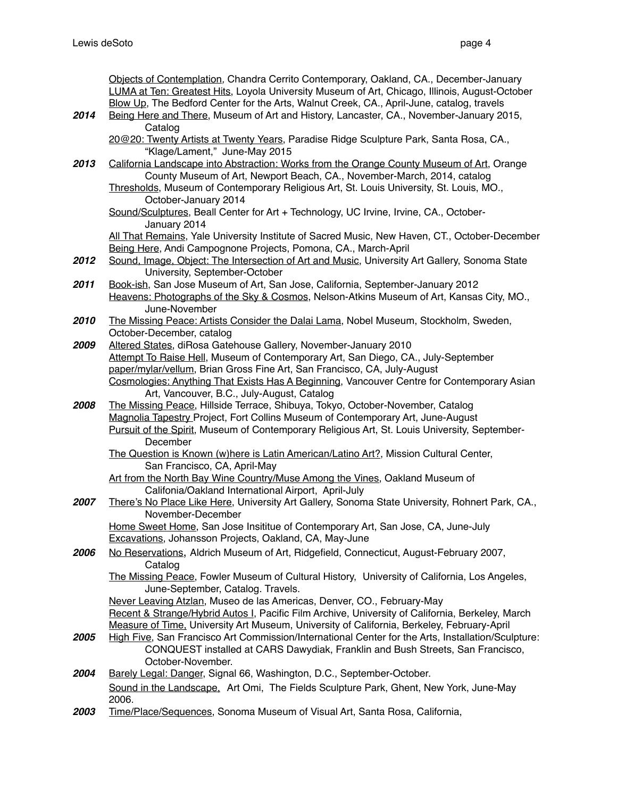|      | Objects of Contemplation, Chandra Cerrito Contemporary, Oakland, CA., December-January<br>LUMA at Ten: Greatest Hits, Loyola University Museum of Art, Chicago, Illinois, August-October<br>Blow Up, The Bedford Center for the Arts, Walnut Creek, CA., April-June, catalog, travels |
|------|---------------------------------------------------------------------------------------------------------------------------------------------------------------------------------------------------------------------------------------------------------------------------------------|
| 2014 | Being Here and There, Museum of Art and History, Lancaster, CA., November-January 2015,                                                                                                                                                                                               |
|      | Catalog<br>20@20: Twenty Artists at Twenty Years, Paradise Ridge Sculpture Park, Santa Rosa, CA.,                                                                                                                                                                                     |
| 2013 | "Klage/Lament," June-May 2015<br>California Landscape into Abstraction: Works from the Orange County Museum of Art, Orange                                                                                                                                                            |
|      | County Museum of Art, Newport Beach, CA., November-March, 2014, catalog                                                                                                                                                                                                               |
|      | Thresholds, Museum of Contemporary Religious Art, St. Louis University, St. Louis, MO.,<br>October-January 2014                                                                                                                                                                       |
|      | Sound/Sculptures, Beall Center for Art + Technology, UC Irvine, Irvine, CA., October-<br>January 2014                                                                                                                                                                                 |
|      | All That Remains, Yale University Institute of Sacred Music, New Haven, CT., October-December                                                                                                                                                                                         |
|      | Being Here, Andi Campognone Projects, Pomona, CA., March-April                                                                                                                                                                                                                        |
| 2012 | Sound, Image, Object: The Intersection of Art and Music, University Art Gallery, Sonoma State<br>University, September-October                                                                                                                                                        |
| 2011 | Book-ish, San Jose Museum of Art, San Jose, California, September-January 2012                                                                                                                                                                                                        |
|      | Heavens: Photographs of the Sky & Cosmos, Nelson-Atkins Museum of Art, Kansas City, MO.,                                                                                                                                                                                              |
|      | June-November                                                                                                                                                                                                                                                                         |
| 2010 | The Missing Peace: Artists Consider the Dalai Lama, Nobel Museum, Stockholm, Sweden,                                                                                                                                                                                                  |
| 2009 | October-December, catalog<br>Altered States, diRosa Gatehouse Gallery, November-January 2010                                                                                                                                                                                          |
|      | Attempt To Raise Hell, Museum of Contemporary Art, San Diego, CA., July-September                                                                                                                                                                                                     |
|      | paper/mylar/vellum, Brian Gross Fine Art, San Francisco, CA, July-August                                                                                                                                                                                                              |
|      | Cosmologies: Anything That Exists Has A Beginning, Vancouver Centre for Contemporary Asian                                                                                                                                                                                            |
|      | Art, Vancouver, B.C., July-August, Catalog                                                                                                                                                                                                                                            |
| 2008 | The Missing Peace, Hillside Terrace, Shibuya, Tokyo, October-November, Catalog                                                                                                                                                                                                        |
|      | Magnolia Tapestry_Project, Fort Collins Museum of Contemporary Art, June-August<br>Pursuit of the Spirit, Museum of Contemporary Religious Art, St. Louis University, September-                                                                                                      |
|      | December                                                                                                                                                                                                                                                                              |
|      | The Question is Known (w)here is Latin American/Latino Art?, Mission Cultural Center,                                                                                                                                                                                                 |
|      | San Francisco, CA, April-May                                                                                                                                                                                                                                                          |
|      | Art from the North Bay Wine Country/Muse Among the Vines, Oakland Museum of                                                                                                                                                                                                           |
| 2007 | Califonia/Oakland International Airport, April-July<br>There's No Place Like Here, University Art Gallery, Sonoma State University, Rohnert Park, CA.,                                                                                                                                |
|      | November-December                                                                                                                                                                                                                                                                     |
|      | Home Sweet Home, San Jose Insititue of Contemporary Art, San Jose, CA, June-July                                                                                                                                                                                                      |
|      | <b>Excavations, Johansson Projects, Oakland, CA, May-June</b>                                                                                                                                                                                                                         |
| 2006 | No Reservations, Aldrich Museum of Art, Ridgefield, Connecticut, August-February 2007,<br>Catalog                                                                                                                                                                                     |
|      | The Missing Peace, Fowler Museum of Cultural History, University of California, Los Angeles,                                                                                                                                                                                          |
|      | June-September, Catalog. Travels.                                                                                                                                                                                                                                                     |
|      | Never Leaving Atzlan, Museo de las Americas, Denver, CO., February-May                                                                                                                                                                                                                |
|      | Recent & Strange/Hybrid Autos I, Pacific Film Archive, University of California, Berkeley, March                                                                                                                                                                                      |
|      | Measure of Time, University Art Museum, University of California, Berkeley, February-April                                                                                                                                                                                            |
| 2005 | High Five, San Francisco Art Commission/International Center for the Arts, Installation/Sculpture:<br>CONQUEST installed at CARS Dawydiak, Franklin and Bush Streets, San Francisco,                                                                                                  |
|      | October-November.                                                                                                                                                                                                                                                                     |
| 2004 | Barely Legal: Danger, Signal 66, Washington, D.C., September-October.                                                                                                                                                                                                                 |
|      | Sound in the Landscape. Art Omi, The Fields Sculpture Park, Ghent, New York, June-May<br>2006.                                                                                                                                                                                        |
| 2003 | Time/Place/Sequences, Sonoma Museum of Visual Art, Santa Rosa, California,                                                                                                                                                                                                            |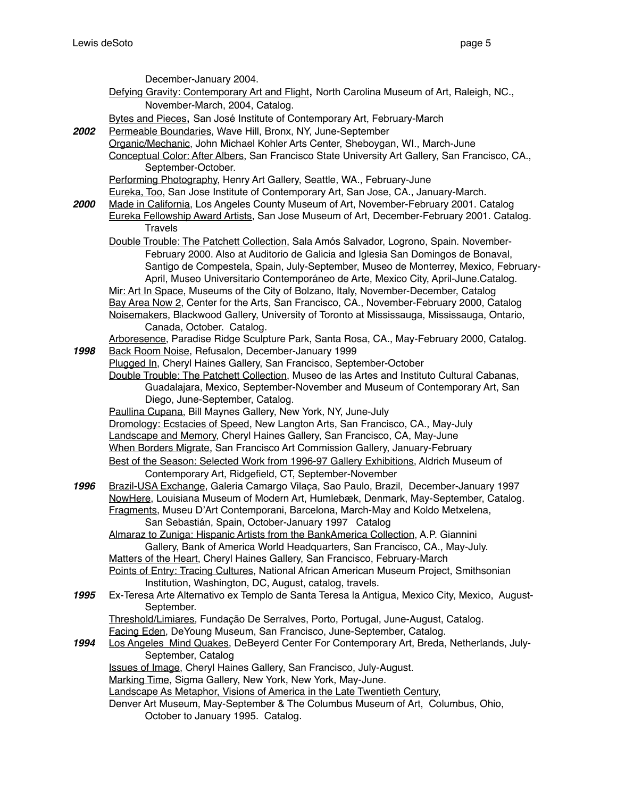December-January 2004. Defying Gravity: Contemporary Art and Flight, North Carolina Museum of Art, Raleigh, NC., November-March, 2004, Catalog. Bytes and Pieces, San José Institute of Contemporary Art, February-March 2002 Permeable Boundaries, Wave Hill, Bronx, NY, June-September Organic/Mechanic, John Michael Kohler Arts Center, Sheboygan, WI., March-June Conceptual Color: After Albers, San Francisco State University Art Gallery, San Francisco, CA., September-October. Performing Photography, Henry Art Gallery, Seattle, WA., February-June Eureka, Too, San Jose Institute of Contemporary Art, San Jose, CA., January-March. *2000* Made in California, Los Angeles County Museum of Art, November-February 2001. Catalog Eureka Fellowship Award Artists, San Jose Museum of Art, December-February 2001. Catalog. Travels Double Trouble: The Patchett Collection, Sala Amós Salvador, Logrono, Spain. November-February 2000. Also at Auditorio de Galicia and Iglesia San Domingos de Bonaval, Santigo de Compestela, Spain, July-September, Museo de Monterrey, Mexico, February-April, Museo Universitario Contemporáneo de Arte, Mexico City, April-June.Catalog. Mir: Art In Space, Museums of the City of Bolzano, Italy, November-December, Catalog Bay Area Now 2, Center for the Arts, San Francisco, CA., November-February 2000, Catalog Noisemakers, Blackwood Gallery, University of Toronto at Mississauga, Mississauga, Ontario, Canada, October. Catalog. Arboresence, Paradise Ridge Sculpture Park, Santa Rosa, CA., May-February 2000, Catalog. *1998* Back Room Noise, Refusalon, December-January 1999 Plugged In, Cheryl Haines Gallery, San Francisco, September-October Double Trouble: The Patchett Collection, Museo de las Artes and Instituto Cultural Cabanas, Guadalajara, Mexico, September-November and Museum of Contemporary Art, San Diego, June-September, Catalog. Paullina Cupana, Bill Maynes Gallery, New York, NY, June-July Dromology: Ecstacies of Speed, New Langton Arts, San Francisco, CA., May-July Landscape and Memory, Cheryl Haines Gallery, San Francisco, CA, May-June When Borders Migrate, San Francisco Art Commission Gallery, January-February Best of the Season: Selected Work from 1996-97 Gallery Exhibitions, Aldrich Museum of Contemporary Art, Ridgefield, CT, September-November *1996* Brazil-USA Exchange, Galeria Camargo Vilaça, Sao Paulo, Brazil, December-January 1997 NowHere, Louisiana Museum of Modern Art, Humlebæk, Denmark, May-September, Catalog. Fragments, Museu D'Art Contemporani, Barcelona, March-May and Koldo Metxelena, San Sebastián, Spain, October-January 1997 Catalog Almaraz to Zuniga: Hispanic Artists from the BankAmerica Collection, A.P. Giannini Gallery, Bank of America World Headquarters, San Francisco, CA., May-July. Matters of the Heart, Cheryl Haines Gallery, San Francisco, February-March Points of Entry: Tracing Cultures, National African American Museum Project, Smithsonian Institution, Washington, DC, August, catalog, travels. *1995* Ex-Teresa Arte Alternativo ex Templo de Santa Teresa la Antigua, Mexico City, Mexico, August-September. Threshold/Limiares, Fundação De Serralves, Porto, Portugal, June-August, Catalog. Facing Eden, DeYoung Museum, San Francisco, June-September, Catalog. *1994* Los Angeles Mind Quakes, DeBeyerd Center For Contemporary Art, Breda, Netherlands, July-September, Catalog Issues of Image, Cheryl Haines Gallery, San Francisco, July-August. Marking Time, Sigma Gallery, New York, New York, May-June. Landscape As Metaphor, Visions of America in the Late Twentieth Century, Denver Art Museum, May-September & The Columbus Museum of Art, Columbus, Ohio, October to January 1995. Catalog.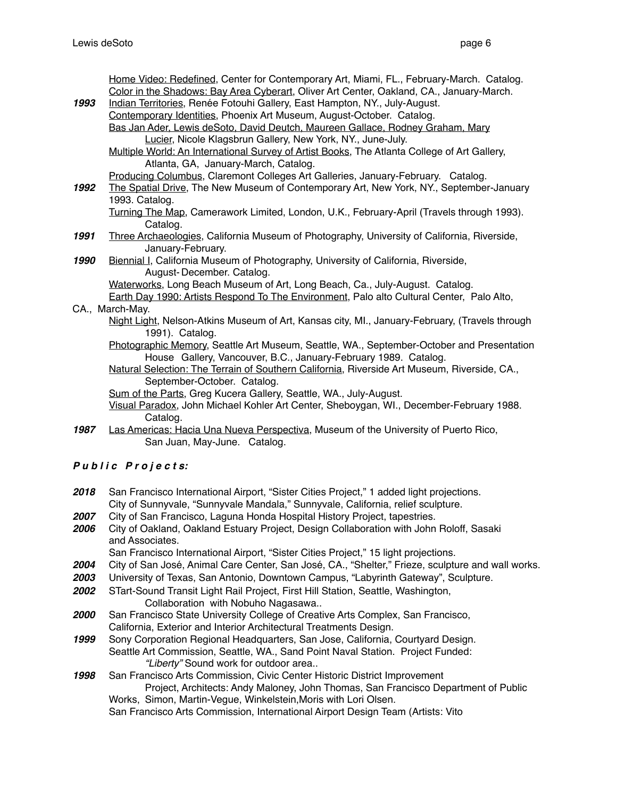|      | Home Video: Redefined, Center for Contemporary Art, Miami, FL., February-March. Catalog.                          |
|------|-------------------------------------------------------------------------------------------------------------------|
|      | Color in the Shadows: Bay Area Cyberart, Oliver Art Center, Oakland, CA., January-March.                          |
| 1993 | Indian Territories, Renée Fotouhi Gallery, East Hampton, NY., July-August.                                        |
|      | Contemporary Identities, Phoenix Art Museum, August-October. Catalog.                                             |
|      | Bas Jan Ader, Lewis deSoto, David Deutch, Maureen Gallace, Rodney Graham, Mary                                    |
|      | Lucier, Nicole Klagsbrun Gallery, New York, NY., June-July.                                                       |
|      | Multiple World: An International Survey of Artist Books, The Atlanta College of Art Gallery,                      |
|      | Atlanta, GA, January-March, Catalog.                                                                              |
|      | Producing Columbus, Claremont Colleges Art Galleries, January-February. Catalog.                                  |
| 1992 | The Spatial Drive, The New Museum of Contemporary Art, New York, NY., September-January                           |
|      | 1993. Catalog.                                                                                                    |
|      | Turning The Map, Camerawork Limited, London, U.K., February-April (Travels through 1993).                         |
|      | Catalog.                                                                                                          |
| 1991 | Three Archaeologies, California Museum of Photography, University of California, Riverside,                       |
|      | January-February.                                                                                                 |
| 1990 | Biennial I, California Museum of Photography, University of California, Riverside,                                |
|      | August-December. Catalog.                                                                                         |
|      | Waterworks, Long Beach Museum of Art, Long Beach, Ca., July-August. Catalog.                                      |
|      | Earth Day 1990: Artists Respond To The Environment, Palo alto Cultural Center, Palo Alto,                         |
|      | CA., March-May.                                                                                                   |
|      | Night Light, Nelson-Atkins Museum of Art, Kansas city, MI., January-February, (Travels through<br>1991). Catalog. |
|      | Photographic Memory, Seattle Art Museum, Seattle, WA., September-October and Presentation                         |
|      | House Gallery, Vancouver, B.C., January-February 1989. Catalog.                                                   |
|      | Natural Selection: The Terrain of Southern California, Riverside Art Museum, Riverside, CA.,                      |
|      | September-October. Catalog.                                                                                       |
|      | Sum of the Parts, Greg Kucera Gallery, Seattle, WA., July-August.                                                 |
|      | Visual Paradox, John Michael Kohler Art Center, Sheboygan, WI., December-February 1988.<br>Catalog.               |
| 1987 | Las Americas: Hacia Una Nueva Perspectiva, Museum of the University of Puerto Rico,                               |
|      | San Juan, May-June. Catalog.                                                                                      |
|      |                                                                                                                   |

- *P u b l i c P r o j e c t s:*
- 2018 San Francisco International Airport, "Sister Cities Project," 1 added light projections. City of Sunnyvale, "Sunnyvale Mandala," Sunnyvale, California, relief sculpture.
- *2007* City of San Francisco, Laguna Honda Hospital History Project, tapestries.
- *2006* City of Oakland, Oakland Estuary Project, Design Collaboration with John Roloff, Sasaki and Associates.

San Francisco International Airport, "Sister Cities Project," 15 light projections.

- *2004* City of San José, Animal Care Center, San José, CA., "Shelter," Frieze, sculpture and wall works.
- *2003* University of Texas, San Antonio, Downtown Campus, "Labyrinth Gateway", Sculpture.
- *2002* STart-Sound Transit Light Rail Project, First Hill Station, Seattle, Washington, Collaboration with Nobuho Nagasawa..
- *2000* San Francisco State University College of Creative Arts Complex, San Francisco, California, Exterior and Interior Architectural Treatments Design.
- *1999* Sony Corporation Regional Headquarters, San Jose, California, Courtyard Design. Seattle Art Commission, Seattle, WA., Sand Point Naval Station. Project Funded: *"Liberty"* Sound work for outdoor area..
- *1998* San Francisco Arts Commission, Civic Center Historic District Improvement Project, Architects: Andy Maloney, John Thomas, San Francisco Department of Public Works, Simon, Martin-Vegue, Winkelstein,Moris with Lori Olsen. San Francisco Arts Commission, International Airport Design Team (Artists: Vito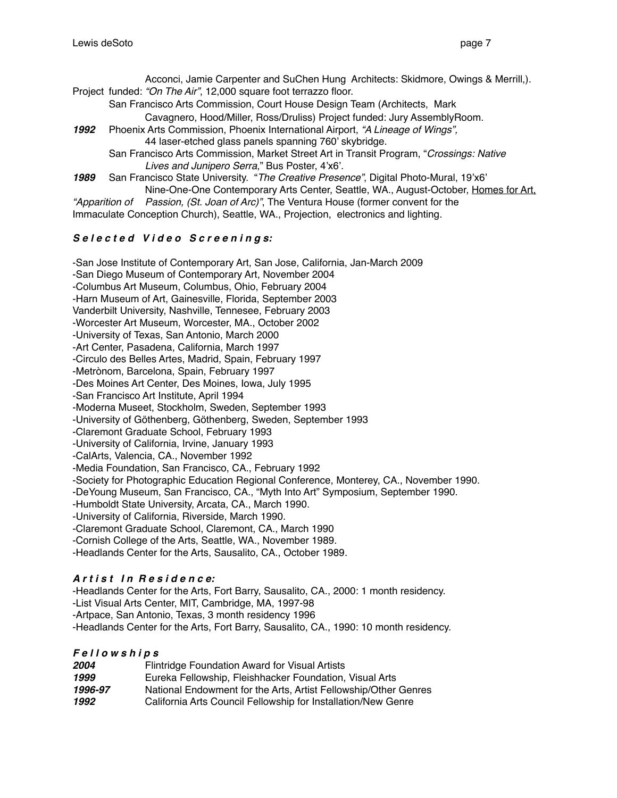Acconci, Jamie Carpenter and SuChen Hung Architects: Skidmore, Owings & Merrill,). Project funded: *"On The Air"*, 12,000 square foot terrazzo floor.

San Francisco Arts Commission, Court House Design Team (Architects, Mark

Cavagnero, Hood/Miller, Ross/Druliss) Project funded: Jury AssemblyRoom.

*1992* Phoenix Arts Commission, Phoenix International Airport, *"A Lineage of Wings",* 

44 laser-etched glass panels spanning 760' skybridge.

San Francisco Arts Commission, Market Street Art in Transit Program, "*Crossings: Native Lives and Junipero Serra*," Bus Poster, 4'x6'.

*1989* San Francisco State University. "*The Creative Presence"*, Digital Photo-Mural, 19'x6'

Nine-One-One Contemporary Arts Center, Seattle, WA., August-October, Homes for Art,

*"Apparition of Passion, (St. Joan of Arc)"*, The Ventura House (former convent for the Immaculate Conception Church), Seattle, WA., Projection, electronics and lighting.

# *S e l e c t e d V i d e o S c r e e n i n g s:*

-San Jose Institute of Contemporary Art, San Jose, California, Jan-March 2009 -San Diego Museum of Contemporary Art, November 2004 -Columbus Art Museum, Columbus, Ohio, February 2004 -Harn Museum of Art, Gainesville, Florida, September 2003 Vanderbilt University, Nashville, Tennesee, February 2003 -Worcester Art Museum, Worcester, MA., October 2002 -University of Texas, San Antonio, March 2000 -Art Center, Pasadena, California, March 1997 -Circulo des Belles Artes, Madrid, Spain, February 1997 -Metrònom, Barcelona, Spain, February 1997 -Des Moines Art Center, Des Moines, Iowa, July 1995 -San Francisco Art Institute, April 1994 -Moderna Museet, Stockholm, Sweden, September 1993 -University of Göthenberg, Göthenberg, Sweden, September 1993 -Claremont Graduate School, February 1993 -University of California, Irvine, January 1993 -CalArts, Valencia, CA., November 1992 -Media Foundation, San Francisco, CA., February 1992 -Society for Photographic Education Regional Conference, Monterey, CA., November 1990. -DeYoung Museum, San Francisco, CA., "Myth Into Art" Symposium, September 1990. -Humboldt State University, Arcata, CA., March 1990. -University of California, Riverside, March 1990. -Claremont Graduate School, Claremont, CA., March 1990 -Cornish College of the Arts, Seattle, WA., November 1989. -Headlands Center for the Arts, Sausalito, CA., October 1989.

# *A r t i s t I n R e s i d e n c e:*

-Headlands Center for the Arts, Fort Barry, Sausalito, CA., 2000: 1 month residency. -List Visual Arts Center, MIT, Cambridge, MA, 1997-98 -Artpace, San Antonio, Texas, 3 month residency 1996 -Headlands Center for the Arts, Fort Barry, Sausalito, CA., 1990: 10 month residency.

# *F e l l o w s h i p s*

| 2004    | Flintridge Foundation Award for Visual Artists                  |
|---------|-----------------------------------------------------------------|
| 1999    | Eureka Fellowship, Fleishhacker Foundation, Visual Arts         |
| 1996-97 | National Endowment for the Arts, Artist Fellowship/Other Genres |
| 1992    | California Arts Council Fellowship for Installation/New Genre   |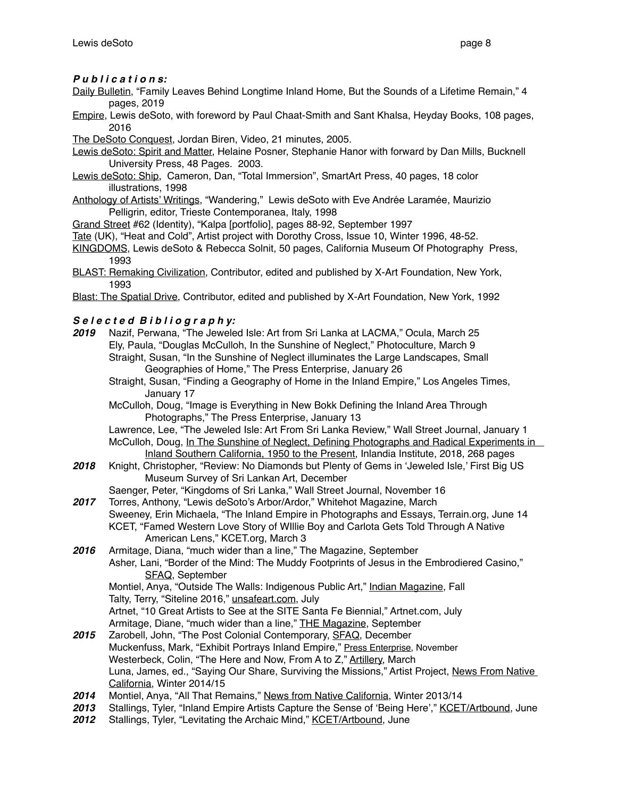#### *P u b l i c a t i o n s:*

- Daily Bulletin, "Family Leaves Behind Longtime Inland Home, But the Sounds of a Lifetime Remain," 4 pages, 2019
- Empire, Lewis deSoto, with foreword by Paul Chaat-Smith and Sant Khalsa, Heyday Books, 108 pages, 2016

The DeSoto Conquest, Jordan Biren, Video, 21 minutes, 2005.

Lewis deSoto: Spirit and Matter, Helaine Posner, Stephanie Hanor with forward by Dan Mills. Bucknell University Press, 48 Pages. 2003.

- Lewis deSoto: Ship, Cameron, Dan, "Total Immersion", SmartArt Press, 40 pages, 18 color illustrations, 1998
- Anthology of Artists' Writings, "Wandering," Lewis deSoto with Eve Andrée Laramée, Maurizio Pelligrin, editor, Trieste Contemporanea, Italy, 1998

Grand Street #62 (Identity), "Kalpa [portfolio], pages 88-92, September 1997

- Tate (UK), "Heat and Cold", Artist project with Dorothy Cross, Issue 10, Winter 1996, 48-52.
- KINGDOMS, Lewis deSoto & Rebecca Solnit, 50 pages, California Museum Of Photography Press, 1993
- BLAST: Remaking Civilization, Contributor, edited and published by X-Art Foundation, New York, 1993
- Blast: The Spatial Drive, Contributor, edited and published by X-Art Foundation, New York, 1992

#### *S e l e c t e d B i b l i o g r a p h y:*

- *2019* Nazif, Perwana, "The Jeweled Isle: Art from Sri Lanka at LACMA," Ocula, March 25 Ely, Paula, "Douglas McCulloh, In the Sunshine of Neglect," Photoculture, March 9 Straight, Susan, "In the Sunshine of Neglect illuminates the Large Landscapes, Small Geographies of Home," The Press Enterprise, January 26
	- Straight, Susan, "Finding a Geography of Home in the Inland Empire," Los Angeles Times, January 17
	- McCulloh, Doug, "Image is Everything in New Bokk Defining the Inland Area Through Photographs," The Press Enterprise, January 13
	- Lawrence, Lee, "The Jeweled Isle: Art From Sri Lanka Review," Wall Street Journal, January 1 McCulloh, Doug, In The Sunshine of Neglect, Defining Photographs and Radical Experiments in Inland Southern California, 1950 to the Present, Inlandia Institute, 2018, 268 pages
- *2018* Knight, Christopher, "Review: No Diamonds but Plenty of Gems in 'Jeweled Isle,' First Big US Museum Survey of Sri Lankan Art, December

Saenger, Peter, "Kingdoms of Sri Lanka," Wall Street Journal, November 16

- *2017* Torres, Anthony, "Lewis deSoto's Arbor/Ardor," Whitehot Magazine, March Sweeney, Erin Michaela, "The Inland Empire in Photographs and Essays, Terrain.org, June 14 KCET, "Famed Western Love Story of WIllie Boy and Carlota Gets Told Through A Native American Lens," KCET.org, March 3
- *2016* Armitage, Diana, "much wider than a line," The Magazine, September Asher, Lani, "Border of the Mind: The Muddy Footprints of Jesus in the Embrodiered Casino," SFAQ, September Montiel, Anya, "Outside The Walls: Indigenous Public Art," Indian Magazine, Fall Talty, Terry, "Siteline 2016," unsafeart.com, July Artnet, "10 Great Artists to See at the SITE Santa Fe Biennial," Artnet.com, July Armitage, Diane, "much wider than a line," THE Magazine, September
- *2015* Zarobell, John, "The Post Colonial Contemporary, SFAQ, December Muckenfuss, Mark, "Exhibit Portrays Inland Empire," Press Enterprise, November Westerbeck, Colin, "The Here and Now, From A to Z," Artillery, March Luna, James, ed., "Saying Our Share, Surviving the Missions," Artist Project, News From Native California, Winter 2014/15
- *2014* Montiel, Anya, "All That Remains," News from Native California, Winter 2013/14
- *2013* Stallings, Tyler, "Inland Empire Artists Capture the Sense of 'Being Here'," KCET/Artbound, June
- 2012 Stallings, Tyler, "Levitating the Archaic Mind," KCET/Artbound, June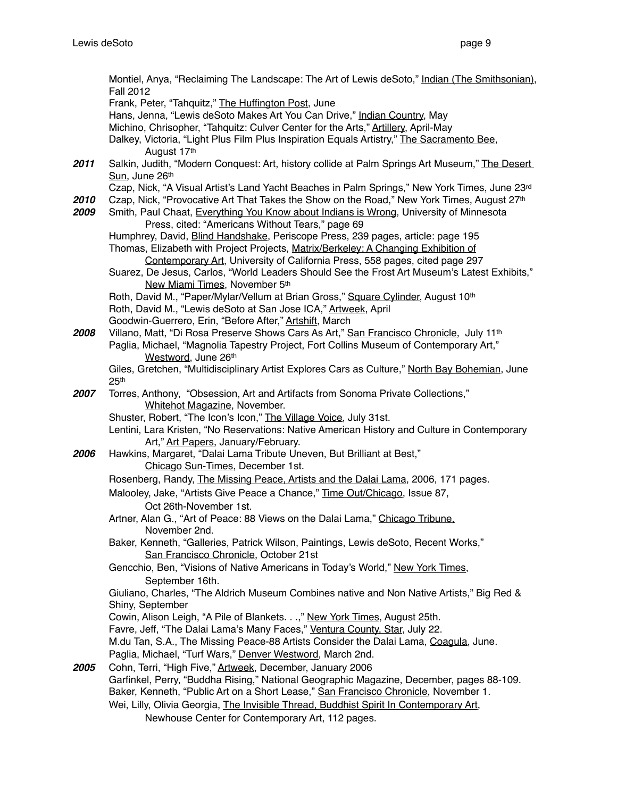Montiel, Anya, "Reclaiming The Landscape: The Art of Lewis deSoto," Indian (The Smithsonian), Fall 2012 Frank, Peter, "Tahquitz," The Huffington Post, June Hans, Jenna, "Lewis deSoto Makes Art You Can Drive," Indian Country, May Michino, Chrisopher, "Tahquitz: Culver Center for the Arts," Artillery, April-May Dalkey, Victoria, "Light Plus Film Plus Inspiration Equals Artistry," The Sacramento Bee, August 17th *2011* Salkin, Judith, "Modern Conquest: Art, history collide at Palm Springs Art Museum," The Desert Sun, June 26th Czap, Nick, "A Visual Artist's Land Yacht Beaches in Palm Springs," New York Times, June 23rd 2010 Czap, Nick, "Provocative Art That Takes the Show on the Road," New York Times, August 27<sup>th</sup><br>2009 Smith, Paul Chaat, Everything You Know about Indians is Wrong, University of Minnesota *2009* Smith, Paul Chaat, Everything You Know about Indians is Wrong, University of Minnesota Press, cited: "Americans Without Tears," page 69 Humphrey, David, Blind Handshake, Periscope Press, 239 pages, article: page 195 Thomas, Elizabeth with Project Projects, Matrix/Berkeley: A Changing Exhibition of Contemporary Art, University of California Press, 558 pages, cited page 297 Suarez, De Jesus, Carlos, "World Leaders Should See the Frost Art Museum's Latest Exhibits," New Miami Times, November 5th Roth, David M., "Paper/Mylar/Vellum at Brian Gross," Square Cylinder, August 10<sup>th</sup> Roth, David M., "Lewis deSoto at San Jose ICA," Artweek, April Goodwin-Guerrero, Erin, "Before After," Artshift, March 2008 Villano, Matt, "Di Rosa Preserve Shows Cars As Art," San Francisco Chronicle, July 11<sup>th</sup> Paglia, Michael, "Magnolia Tapestry Project, Fort Collins Museum of Contemporary Art," Westword, June 26th Giles, Gretchen, "Multidisciplinary Artist Explores Cars as Culture," North Bay Bohemian, June 25th *2007* Torres, Anthony, "Obsession, Art and Artifacts from Sonoma Private Collections," Whitehot Magazine, November. Shuster, Robert, "The Icon's Icon," The Village Voice, July 31st. Lentini, Lara Kristen, "No Reservations: Native American History and Culture in Contemporary Art," Art Papers, January/February. *2006* Hawkins, Margaret, "Dalai Lama Tribute Uneven, But Brilliant at Best," Chicago Sun-Times, December 1st. Rosenberg, Randy, *The Missing Peace, Artists and the Dalai Lama*, 2006, 171 pages. Malooley, Jake, "Artists Give Peace a Chance," Time Out/Chicago, Issue 87, Oct 26th-November 1st. Artner, Alan G., "Art of Peace: 88 Views on the Dalai Lama," Chicago Tribune, November 2nd. Baker, Kenneth, "Galleries, Patrick Wilson, Paintings, Lewis deSoto, Recent Works," San Francisco Chronicle, October 21st Gencchio, Ben, "Visions of Native Americans in Today's World," New York Times, September 16th. Giuliano, Charles, "The Aldrich Museum Combines native and Non Native Artists," Big Red & Shiny, September Cowin, Alison Leigh, "A Pile of Blankets. . .," New York Times, August 25th. Favre, Jeff, "The Dalai Lama's Many Faces," Ventura County, Star, July 22. M.du Tan, S.A., The Missing Peace-88 Artists Consider the Dalai Lama, Coagula, June. Paglia, Michael, "Turf Wars," Denver Westword, March 2nd. *2005* Cohn, Terri, "High Five," Artweek, December, January 2006 Garfinkel, Perry, "Buddha Rising," National Geographic Magazine, December, pages 88-109. Baker, Kenneth, "Public Art on a Short Lease," San Francisco Chronicle, November 1. Wei, Lilly, Olivia Georgia, The Invisible Thread, Buddhist Spirit In Contemporary Art, Newhouse Center for Contemporary Art, 112 pages.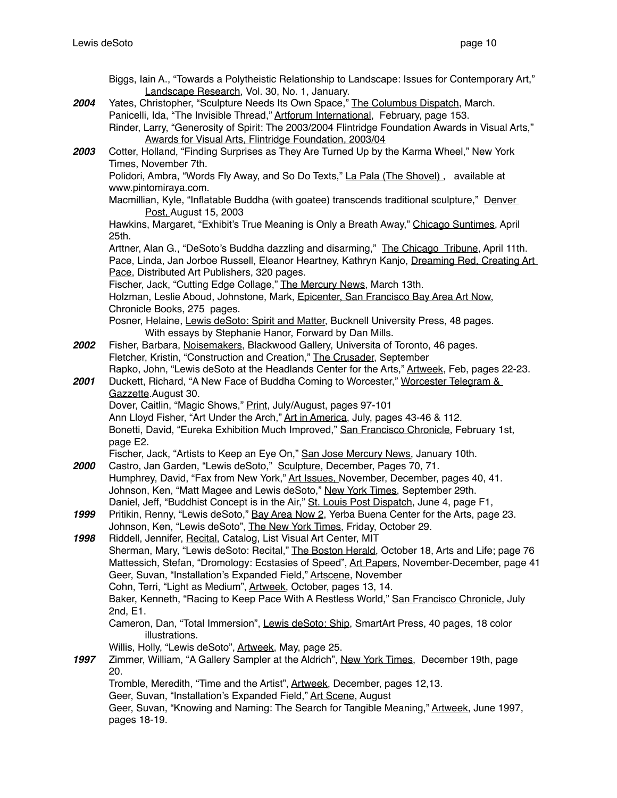|      | Biggs, Iain A., "Towards a Polytheistic Relationship to Landscape: Issues for Contemporary Art,"                                    |
|------|-------------------------------------------------------------------------------------------------------------------------------------|
| 2004 | Landscape Research, Vol. 30, No. 1, January.<br>Yates, Christopher, "Sculpture Needs Its Own Space," The Columbus Dispatch, March.  |
|      | Panicelli, Ida, "The Invisible Thread," Artforum International, February, page 153.                                                 |
|      | Rinder, Larry, "Generosity of Spirit: The 2003/2004 Flintridge Foundation Awards in Visual Arts,"                                   |
|      | Awards for Visual Arts, Flintridge Foundation, 2003/04                                                                              |
| 2003 | Cotter, Holland, "Finding Surprises as They Are Turned Up by the Karma Wheel," New York                                             |
|      | Times, November 7th.                                                                                                                |
|      | Polidori, Ambra, "Words Fly Away, and So Do Texts," La Pala (The Shovel), available at                                              |
|      | www.pintomiraya.com.                                                                                                                |
|      | Macmillian, Kyle, "Inflatable Buddha (with goatee) transcends traditional sculpture," Denver<br>Post, August 15, 2003               |
|      | Hawkins, Margaret, "Exhibit's True Meaning is Only a Breath Away," Chicago Suntimes, April                                          |
|      | 25th.                                                                                                                               |
|      | Arttner, Alan G., "DeSoto's Buddha dazzling and disarming," The Chicago Tribune, April 11th.                                        |
|      | Pace, Linda, Jan Jorboe Russell, Eleanor Heartney, Kathryn Kanjo, Dreaming Red, Creating Art                                        |
|      | Pace, Distributed Art Publishers, 320 pages.                                                                                        |
|      | Fischer, Jack, "Cutting Edge Collage," The Mercury News, March 13th.                                                                |
|      | Holzman, Leslie Aboud, Johnstone, Mark, Epicenter, San Francisco Bay Area Art Now,                                                  |
|      | Chronicle Books, 275 pages.<br>Posner, Helaine, Lewis deSoto: Spirit and Matter, Bucknell University Press, 48 pages.               |
|      | With essays by Stephanie Hanor, Forward by Dan Mills.                                                                               |
| 2002 | Fisher, Barbara, Noisemakers, Blackwood Gallery, Universita of Toronto, 46 pages.                                                   |
|      | Fletcher, Kristin, "Construction and Creation," The Crusader, September                                                             |
|      | Rapko, John, "Lewis deSoto at the Headlands Center for the Arts," Artweek, Feb, pages 22-23.                                        |
| 2001 | Duckett, Richard, "A New Face of Buddha Coming to Worcester," Worcester Telegram &                                                  |
|      | Gazzette August 30.                                                                                                                 |
|      | Dover, Caitlin, "Magic Shows," Print, July/August, pages 97-101                                                                     |
|      | Ann Lloyd Fisher, "Art Under the Arch," Art in America, July, pages 43-46 & 112.                                                    |
|      | Bonetti, David, "Eureka Exhibition Much Improved," San Francisco Chronicle, February 1st,                                           |
|      | page E2.<br>Fischer, Jack, "Artists to Keep an Eye On," San Jose Mercury News, January 10th.                                        |
| 2000 | Castro, Jan Garden, "Lewis deSoto," Sculpture, December, Pages 70, 71.                                                              |
|      | Humphrey, David, "Fax from New York," Art Issues, November, December, pages 40, 41.                                                 |
|      | Johnson, Ken, "Matt Magee and Lewis deSoto," New York Times, September 29th.                                                        |
|      | Daniel, Jeff, "Buddhist Concept is in the Air," St. Louis Post Dispatch, June 4, page F1,                                           |
| 1999 | Pritikin, Renny, "Lewis deSoto," Bay Area Now 2, Yerba Buena Center for the Arts, page 23.                                          |
|      | Johnson, Ken, "Lewis deSoto", The New York Times, Friday, October 29.                                                               |
| 1998 | Riddell, Jennifer, Recital, Catalog, List Visual Art Center, MIT                                                                    |
|      | Sherman, Mary, "Lewis deSoto: Recital," The Boston Herald, October 18, Arts and Life; page 76                                       |
|      | Mattessich, Stefan, "Dromology: Ecstasies of Speed", Art Papers, November-December, page 41                                         |
|      | Geer, Suvan, "Installation's Expanded Field," Artscene, November<br>Cohn, Terri, "Light as Medium", Artweek, October, pages 13, 14. |
|      | Baker, Kenneth, "Racing to Keep Pace With A Restless World," San Francisco Chronicle, July                                          |
|      | 2nd, E1.                                                                                                                            |
|      | Cameron, Dan, "Total Immersion", Lewis deSoto: Ship, SmartArt Press, 40 pages, 18 color                                             |
|      | illustrations.                                                                                                                      |
|      | Willis, Holly, "Lewis deSoto", Artweek, May, page 25.                                                                               |
| 1997 | Zimmer, William, "A Gallery Sampler at the Aldrich", New York Times, December 19th, page                                            |
|      | 20.                                                                                                                                 |
|      | Tromble, Meredith, "Time and the Artist", Artweek, December, pages 12,13.                                                           |
|      | Geer, Suvan, "Installation's Expanded Field," Art Scene, August                                                                     |
|      | Geer, Suvan, "Knowing and Naming: The Search for Tangible Meaning," Artweek, June 1997,<br>pages 18-19.                             |
|      |                                                                                                                                     |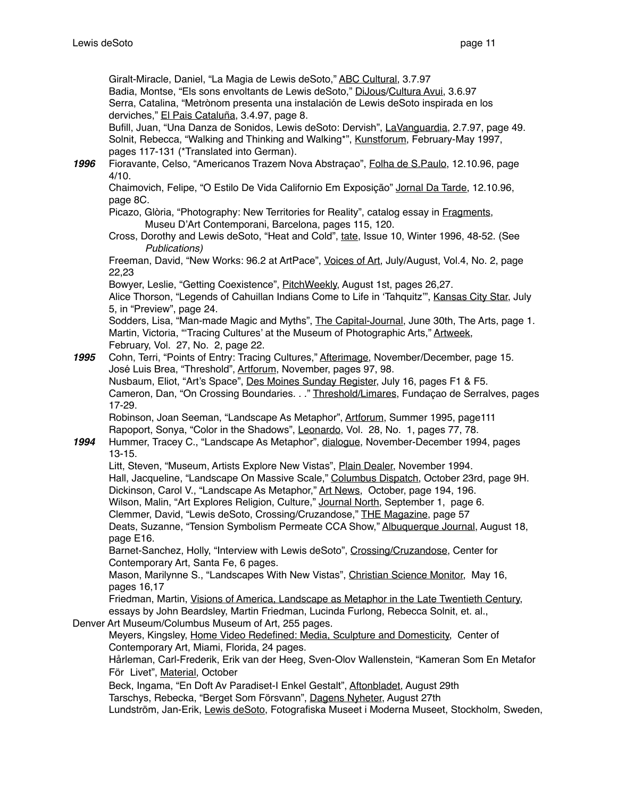Giralt-Miracle, Daniel, "La Magia de Lewis deSoto," ABC Cultural, 3.7.97 Badia, Montse, "Els sons envoltants de Lewis deSoto," DiJous/Cultura Avui, 3.6.97 Serra, Catalina, "Metrònom presenta una instalación de Lewis deSoto inspirada en los derviches," El Pais Cataluña, 3.4.97, page 8.

Bufill, Juan, "Una Danza de Sonidos, Lewis deSoto: Dervish", LaVanguardia, 2.7.97, page 49. Solnit, Rebecca, "Walking and Thinking and Walking\*", Kunstforum, February-May 1997, pages 117-131 (\*Translated into German).

*1996* Fioravante, Celso, "Americanos Trazem Nova Abstraçao", Folha de S.Paulo, 12.10.96, page 4/10.

Chaimovich, Felipe, "O Estilo De Vida Californio Em Exposição" Jornal Da Tarde, 12.10.96, page 8C.

Picazo, Glòria, "Photography: New Territories for Reality", catalog essay in Fragments, Museu D'Art Contemporani, Barcelona, pages 115, 120.

Cross, Dorothy and Lewis deSoto, "Heat and Cold", tate, Issue 10, Winter 1996, 48-52. (See *Publications)*

Freeman, David, "New Works: 96.2 at ArtPace", Voices of Art, July/August, Vol.4, No. 2, page 22,23

Bowyer, Leslie, "Getting Coexistence", PitchWeekly, August 1st, pages 26,27.

Alice Thorson, "Legends of Cahuillan Indians Come to Life in 'Tahquitz'", Kansas City Star, July 5, in "Preview", page 24.

Sodders, Lisa, "Man-made Magic and Myths", The Capital-Journal, June 30th, The Arts, page 1. Martin, Victoria, "Tracing Cultures' at the Museum of Photographic Arts," Artweek, February, Vol. 27, No. 2, page 22.

*1995* Cohn, Terri, "Points of Entry: Tracing Cultures," Afterimage, November/December, page 15. José Luis Brea, "Threshold", Artforum, November, pages 97, 98. Nusbaum, Eliot, "Art's Space", Des Moines Sunday Register, July 16, pages F1 & F5. Cameron, Dan, "On Crossing Boundaries. . ." Threshold/Limares, Fundaçao de Serralves, pages 17-29. Robinson, Joan Seeman, "Landscape As Metaphor", Artforum, Summer 1995, page111

Rapoport, Sonya, "Color in the Shadows", Leonardo, Vol. 28, No. 1, pages 77, 78.

*1994* Hummer, Tracey C., "Landscape As Metaphor", dialogue, November-December 1994, pages 13-15.

Litt, Steven, "Museum, Artists Explore New Vistas", Plain Dealer, November 1994. Hall, Jacqueline, "Landscape On Massive Scale," Columbus Dispatch, October 23rd, page 9H. Dickinson, Carol V., "Landscape As Metaphor," Art News, October, page 194, 196. Wilson, Malin, "Art Explores Religion, Culture," Journal North, September 1, page 6.

Clemmer, David, "Lewis deSoto, Crossing/Cruzandose," THE Magazine, page 57

Deats, Suzanne, "Tension Symbolism Permeate CCA Show," Albuquerque Journal, August 18, page E16.

Barnet-Sanchez, Holly, "Interview with Lewis deSoto", Crossing/Cruzandose, Center for Contemporary Art, Santa Fe, 6 pages.

Mason, Marilynne S., "Landscapes With New Vistas", Christian Science Monitor, May 16, pages 16,17

Friedman, Martin, Visions of America, Landscape as Metaphor in the Late Twentieth Century, essays by John Beardsley, Martin Friedman, Lucinda Furlong, Rebecca Solnit, et. al.,

Denver Art Museum/Columbus Museum of Art, 255 pages.

Meyers, Kingsley, Home Video Redefined: Media, Sculpture and Domesticity, Center of Contemporary Art, Miami, Florida, 24 pages.

Hårleman, Carl-Frederik, Erik van der Heeg, Sven-Olov Wallenstein, "Kameran Som En Metafor För Livet", Material, October

Beck, Ingama, "En Doft Av Paradiset-I Enkel Gestalt", Aftonbladet, August 29th Tarschys, Rebecka, "Berget Som Försvann", Dagens Nyheter, August 27th

Lundström, Jan-Erik, Lewis deSoto, Fotografiska Museet i Moderna Museet, Stockholm, Sweden,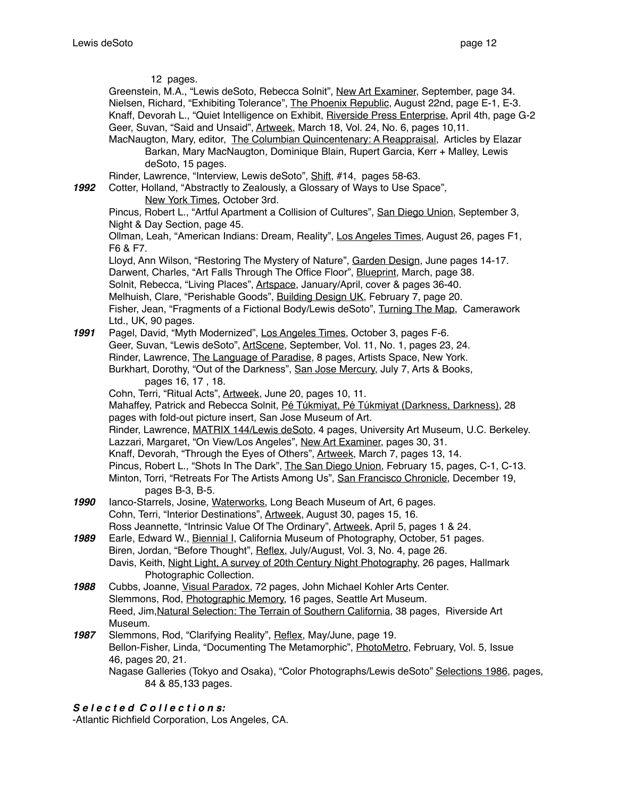12 pages.

Greenstein, M.A., "Lewis deSoto, Rebecca Solnit", New Art Examiner, September, page 34. Nielsen, Richard, "Exhibiting Tolerance", The Phoenix Republic, August 22nd, page E-1, E-3. Knaff, Devorah L., "Quiet Intelligence on Exhibit, Riverside Press Enterprise, April 4th, page G-2 Geer, Suvan, "Said and Unsaid", Artweek, March 18, Vol. 24, No. 6, pages 10,11.

MacNaugton, Mary, editor, The Columbian Quincentenary: A Reappraisal, Articles by Elazar Barkan, Mary MacNaugton, Dominique Blain, Rupert Garcia, Kerr + Malley, Lewis deSoto, 15 pages.

Rinder, Lawrence, "Interview, Lewis deSoto", Shift, #14, pages 58-63.

*1992* Cotter, Holland, "Abstractly to Zealously, a Glossary of Ways to Use Space", New York Times, October 3rd.

Pincus, Robert L., "Artful Apartment a Collision of Cultures", San Diego Union, September 3, Night & Day Section, page 45.

Ollman, Leah, "American Indians: Dream, Reality", Los Angeles Times, August 26, pages F1, F6 & F7.

Lloyd, Ann Wilson, "Restoring The Mystery of Nature", Garden Design, June pages 14-17. Darwent, Charles, "Art Falls Through The Office Floor", Blueprint, March, page 38. Solnit, Rebecca, "Living Places", Artspace, January/April, cover & pages 36-40. Melhuish, Clare, "Perishable Goods", Building Design UK, February 7, page 20. Fisher, Jean, "Fragments of a Fictional Body/Lewis deSoto", Turning The Map, Camerawork Ltd., UK, 90 pages.

*1991* Pagel, David, "Myth Modernized", Los Angeles Times, October 3, pages F-6. Geer, Suvan, "Lewis deSoto", ArtScene, September, Vol. 11, No. 1, pages 23, 24. Rinder, Lawrence, The Language of Paradise, 8 pages, Artists Space, New York. Burkhart, Dorothy, "Out of the Darkness", San Jose Mercury, July 7, Arts & Books, pages 16, 17 , 18.

Cohn, Terri, "Ritual Acts", Artweek, June 20, pages 10, 11.

Mahaffey, Patrick and Rebecca Solnit, Pé Túkmiyat, Pé Túkmiyat (Darkness, Darkness), 28 pages with fold-out picture insert, San Jose Museum of Art.

Rinder, Lawrence, MATRIX 144/Lewis deSoto, 4 pages, University Art Museum, U.C. Berkeley. Lazzari, Margaret, "On View/Los Angeles", New Art Examiner, pages 30, 31.

Knaff, Devorah, "Through the Eyes of Others", Artweek, March 7, pages 13, 14. Pincus, Robert L., "Shots In The Dark", The San Diego Union, February 15, pages, C-1, C-13. Minton, Torri, "Retreats For The Artists Among Us", San Francisco Chronicle, December 19,

pages B-3, B-5.

- *1990* Ianco-Starrels, Josine, Waterworks, Long Beach Museum of Art, 6 pages. Cohn, Terri, "Interior Destinations", Artweek, August 30, pages 15, 16. Ross Jeannette, "Intrinsic Value Of The Ordinary", Artweek, April 5, pages 1 & 24.
- *1989* Earle, Edward W., Biennial I, California Museum of Photography, October, 51 pages. Biren, Jordan, "Before Thought", Reflex, July/August, Vol. 3, No. 4, page 26. Davis, Keith, Night Light, A survey of 20th Century Night Photography, 26 pages, Hallmark Photographic Collection.
- *1988* Cubbs, Joanne, Visual Paradox, 72 pages, John Michael Kohler Arts Center. Slemmons, Rod, Photographic Memory, 16 pages, Seattle Art Museum. Reed, Jim,Natural Selection: The Terrain of Southern California, 38 pages, Riverside Art Museum.
- *1987* Slemmons, Rod, "Clarifying Reality", Reflex, May/June, page 19. Bellon-Fisher, Linda, "Documenting The Metamorphic", PhotoMetro, February, Vol. 5, Issue 46, pages 20, 21. Nagase Galleries (Tokyo and Osaka), "Color Photographs/Lewis deSoto" Selections 1986, pages, 84 & 85,133 pages.

# *S e l e c t e d C o l l e c t i o n s:*

-Atlantic Richfield Corporation, Los Angeles, CA.